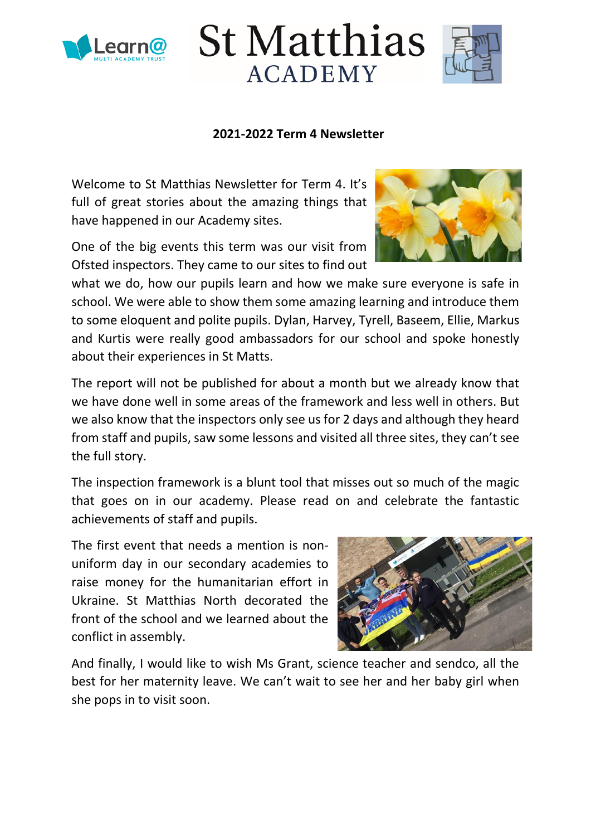



### **2021-2022 Term 4 Newsletter**

Welcome to St Matthias Newsletter for Term 4. It's full of great stories about the amazing things that have happened in our Academy sites.

One of the big events this term was our visit from Ofsted inspectors. They came to our sites to find out



what we do, how our pupils learn and how we make sure everyone is safe in school. We were able to show them some amazing learning and introduce them to some eloquent and polite pupils. Dylan, Harvey, Tyrell, Baseem, Ellie, Markus and Kurtis were really good ambassadors for our school and spoke honestly about their experiences in St Matts.

The report will not be published for about a month but we already know that we have done well in some areas of the framework and less well in others. But we also know that the inspectors only see us for 2 days and although they heard from staff and pupils, saw some lessons and visited all three sites, they can't see the full story.

The inspection framework is a blunt tool that misses out so much of the magic that goes on in our academy. Please read on and celebrate the fantastic achievements of staff and pupils.

The first event that needs a mention is nonuniform day in our secondary academies to raise money for the humanitarian effort in Ukraine. St Matthias North decorated the front of the school and we learned about the conflict in assembly.



And finally, I would like to wish Ms Grant, science teacher and sendco, all the best for her maternity leave. We can't wait to see her and her baby girl when she pops in to visit soon.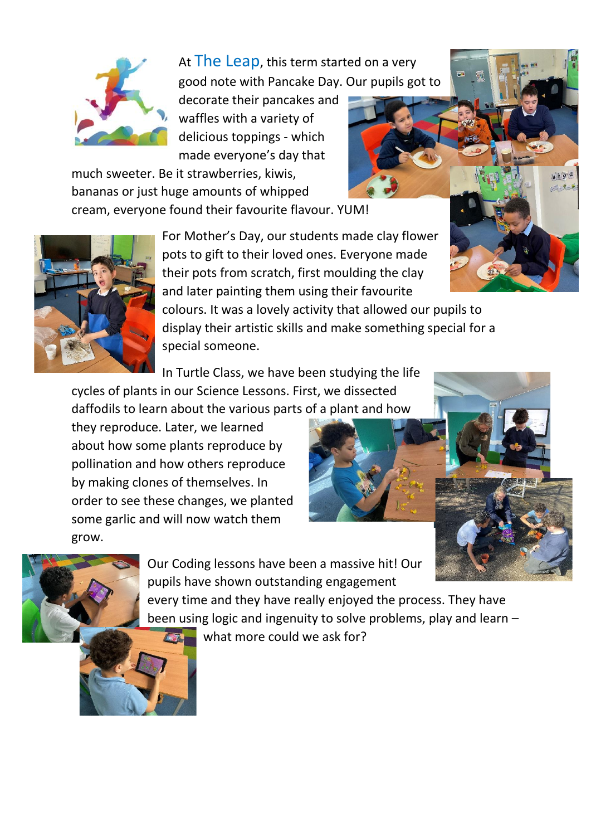

At The Leap, this term started on a very good note with Pancake Day. Our pupils got to

decorate their pancakes and waffles with a variety of delicious toppings - which made everyone's day that

much sweeter. Be it strawberries, kiwis, bananas or just huge amounts of whipped cream, everyone found their favourite flavour. YUM!



In Turtle Class, we have been studying the life

cycles of plants in our Science Lessons. First, we dissected daffodils to learn about the various parts of a plant and how

they reproduce. Later, we learned about how some plants reproduce by pollination and how others reproduce by making clones of themselves. In order to see these changes, we planted some garlic and will now watch them grow.





Our Coding lessons have been a massive hit! Our pupils have shown outstanding engagement every time and they have really enjoyed the process. They have been using logic and ingenuity to solve problems, play and learn – what more could we ask for?  $\sqrt{1}$ 

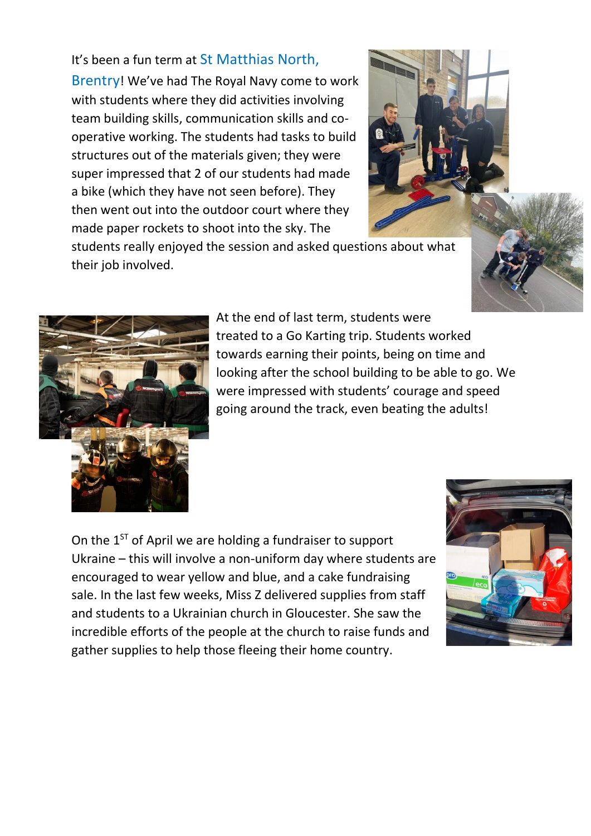## It's been a fun term at St Matthias North,

Brentry! We've had The Royal Navy come to work with students where they did activities involving team building skills, communication skills and cooperative working. The students had tasks to build structures out of the materials given; they were super impressed that 2 of our students had made a bike (which they have not seen before). They then went out into the outdoor court where they made paper rockets to shoot into the sky. The



students really enjoyed the session and asked questions about what their job involved.





At the end of last term, students were treated to a Go Karting trip. Students worked towards earning their points, being on time and looking after the school building to be able to go. We were impressed with students' courage and speed going around the track, even beating the adults!

On the  $1<sup>ST</sup>$  of April we are holding a fundraiser to support Ukraine – this will involve a non-uniform day where students are encouraged to wear yellow and blue, and a cake fundraising sale. In the last few weeks, Miss Z delivered supplies from staff and students to a Ukrainian church in Gloucester. She saw the incredible efforts of the people at the church to raise funds and gather supplies to help those fleeing their home country.